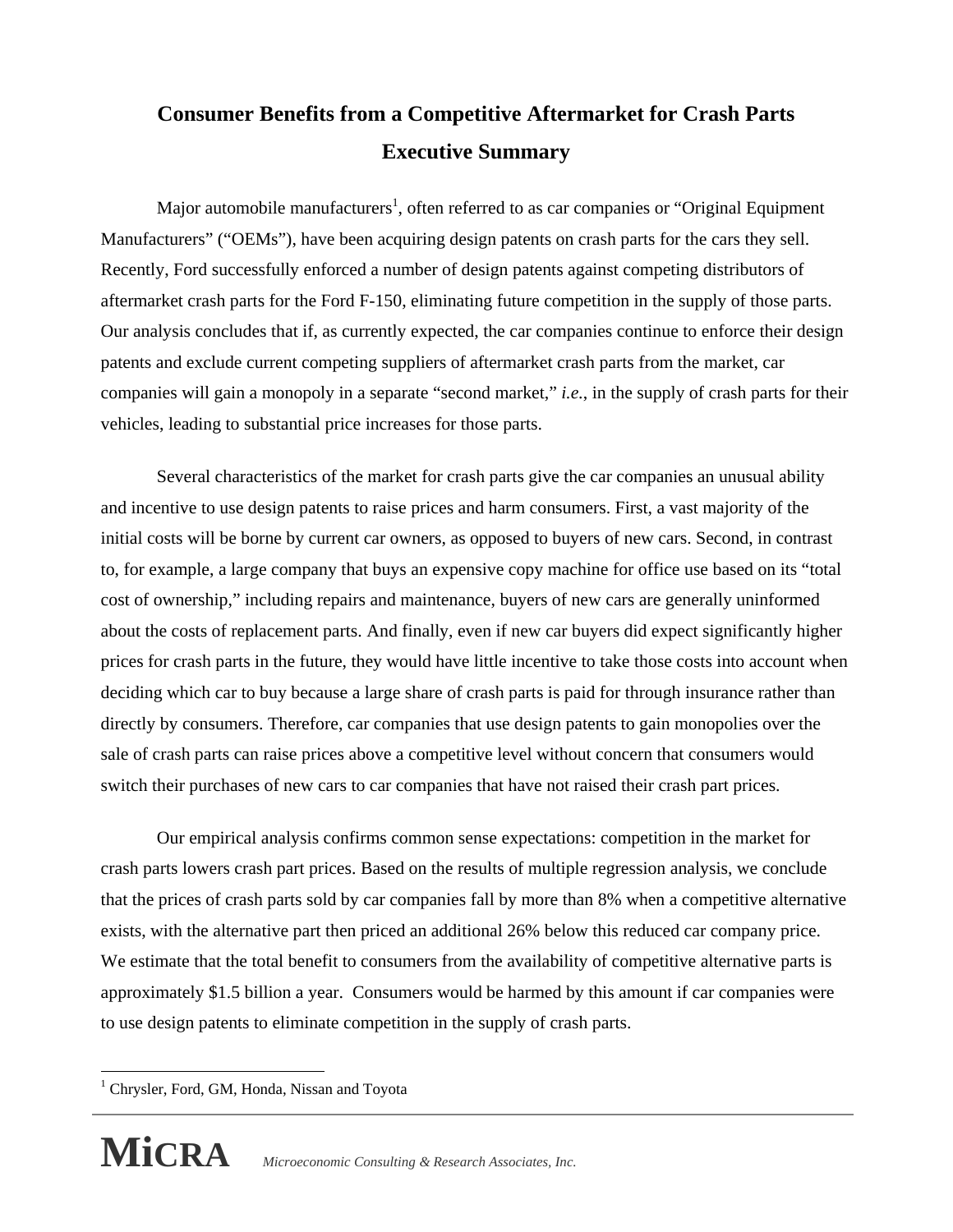# **Consumer Benefits from a Competitive Aftermarket for Crash Parts Executive Summary**

Major automobile manufacturers<sup>1</sup>, often referred to as car companies or "Original Equipment" Manufacturers" ("OEMs"), have been acquiring design patents on crash parts for the cars they sell. Recently, Ford successfully enforced a number of design patents against competing distributors of aftermarket crash parts for the Ford F-150, eliminating future competition in the supply of those parts. Our analysis concludes that if, as currently expected, the car companies continue to enforce their design patents and exclude current competing suppliers of aftermarket crash parts from the market, car companies will gain a monopoly in a separate "second market," *i.e.*, in the supply of crash parts for their vehicles, leading to substantial price increases for those parts.

 Several characteristics of the market for crash parts give the car companies an unusual ability and incentive to use design patents to raise prices and harm consumers. First, a vast majority of the initial costs will be borne by current car owners, as opposed to buyers of new cars. Second, in contrast to, for example, a large company that buys an expensive copy machine for office use based on its "total cost of ownership," including repairs and maintenance, buyers of new cars are generally uninformed about the costs of replacement parts. And finally, even if new car buyers did expect significantly higher prices for crash parts in the future, they would have little incentive to take those costs into account when deciding which car to buy because a large share of crash parts is paid for through insurance rather than directly by consumers. Therefore, car companies that use design patents to gain monopolies over the sale of crash parts can raise prices above a competitive level without concern that consumers would switch their purchases of new cars to car companies that have not raised their crash part prices.

 Our empirical analysis confirms common sense expectations: competition in the market for crash parts lowers crash part prices. Based on the results of multiple regression analysis, we conclude that the prices of crash parts sold by car companies fall by more than 8% when a competitive alternative exists, with the alternative part then priced an additional 26% below this reduced car company price. We estimate that the total benefit to consumers from the availability of competitive alternative parts is approximately \$1.5 billion a year. Consumers would be harmed by this amount if car companies were to use design patents to eliminate competition in the supply of crash parts.

 $\overline{a}$ <sup>1</sup> Chrysler, Ford, GM, Honda, Nissan and Toyota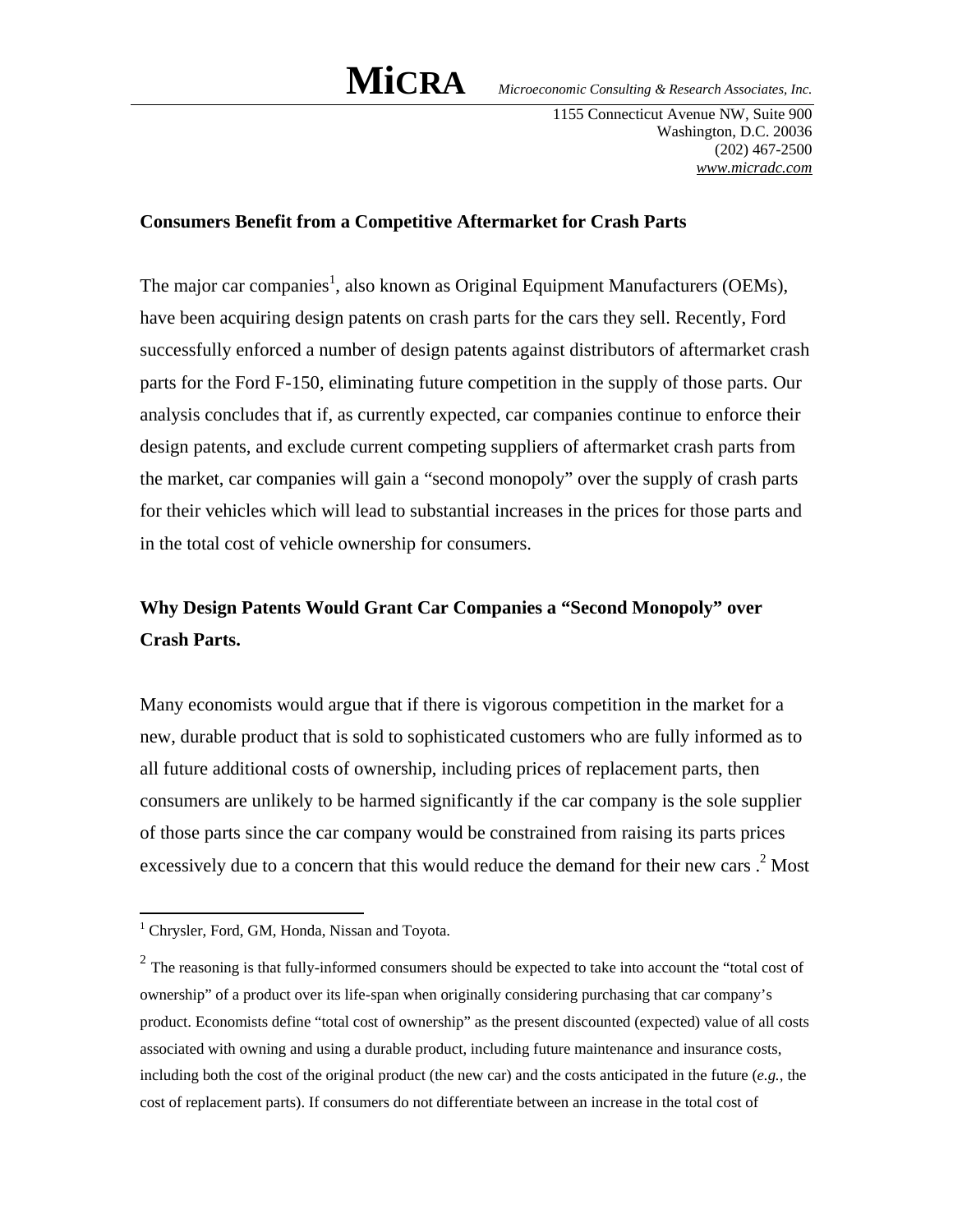1155 Connecticut Avenue NW, Suite 900 Washington, D.C. 20036 (202) 467-2500 *www.micradc.com*

#### **Consumers Benefit from a Competitive Aftermarket for Crash Parts**

The major car companies<sup>1</sup>, also known as Original Equipment Manufacturers (OEMs), have been acquiring design patents on crash parts for the cars they sell. Recently, Ford successfully enforced a number of design patents against distributors of aftermarket crash parts for the Ford F-150, eliminating future competition in the supply of those parts. Our analysis concludes that if, as currently expected, car companies continue to enforce their design patents, and exclude current competing suppliers of aftermarket crash parts from the market, car companies will gain a "second monopoly" over the supply of crash parts for their vehicles which will lead to substantial increases in the prices for those parts and in the total cost of vehicle ownership for consumers.

## **Why Design Patents Would Grant Car Companies a "Second Monopoly" over Crash Parts.**

Many economists would argue that if there is vigorous competition in the market for a new, durable product that is sold to sophisticated customers who are fully informed as to all future additional costs of ownership, including prices of replacement parts, then consumers are unlikely to be harmed significantly if the car company is the sole supplier of those parts since the car company would be constrained from raising its parts prices excessively due to a concern that this would reduce the demand for their new cars  $.2$  Most

 1 Chrysler, Ford, GM, Honda, Nissan and Toyota.

<sup>&</sup>lt;sup>2</sup> The reasoning is that fully-informed consumers should be expected to take into account the "total cost of ownership" of a product over its life-span when originally considering purchasing that car company's product. Economists define "total cost of ownership" as the present discounted (expected) value of all costs associated with owning and using a durable product, including future maintenance and insurance costs, including both the cost of the original product (the new car) and the costs anticipated in the future (*e.g.*, the cost of replacement parts). If consumers do not differentiate between an increase in the total cost of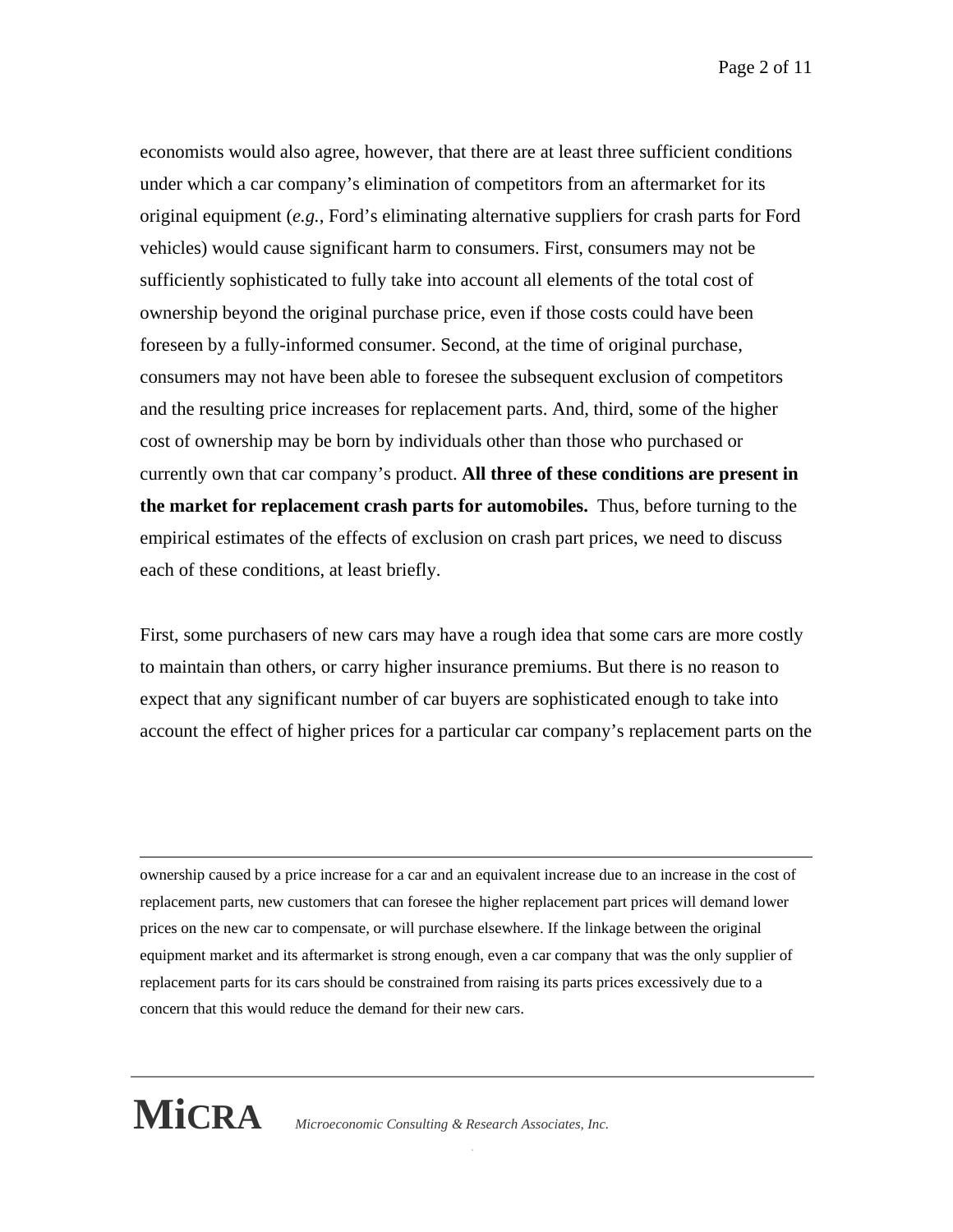Page 2 of 11

economists would also agree, however, that there are at least three sufficient conditions under which a car company's elimination of competitors from an aftermarket for its original equipment (*e.g.*, Ford's eliminating alternative suppliers for crash parts for Ford vehicles) would cause significant harm to consumers. First, consumers may not be sufficiently sophisticated to fully take into account all elements of the total cost of ownership beyond the original purchase price, even if those costs could have been foreseen by a fully-informed consumer. Second, at the time of original purchase, consumers may not have been able to foresee the subsequent exclusion of competitors and the resulting price increases for replacement parts. And, third, some of the higher cost of ownership may be born by individuals other than those who purchased or currently own that car company's product. **All three of these conditions are present in the market for replacement crash parts for automobiles.** Thus, before turning to the empirical estimates of the effects of exclusion on crash part prices, we need to discuss each of these conditions, at least briefly.

First, some purchasers of new cars may have a rough idea that some cars are more costly to maintain than others, or carry higher insurance premiums. But there is no reason to expect that any significant number of car buyers are sophisticated enough to take into account the effect of higher prices for a particular car company's replacement parts on the

 ownership caused by a price increase for a car and an equivalent increase due to an increase in the cost of replacement parts, new customers that can foresee the higher replacement part prices will demand lower prices on the new car to compensate, or will purchase elsewhere. If the linkage between the original equipment market and its aftermarket is strong enough, even a car company that was the only supplier of replacement parts for its cars should be constrained from raising its parts prices excessively due to a concern that this would reduce the demand for their new cars.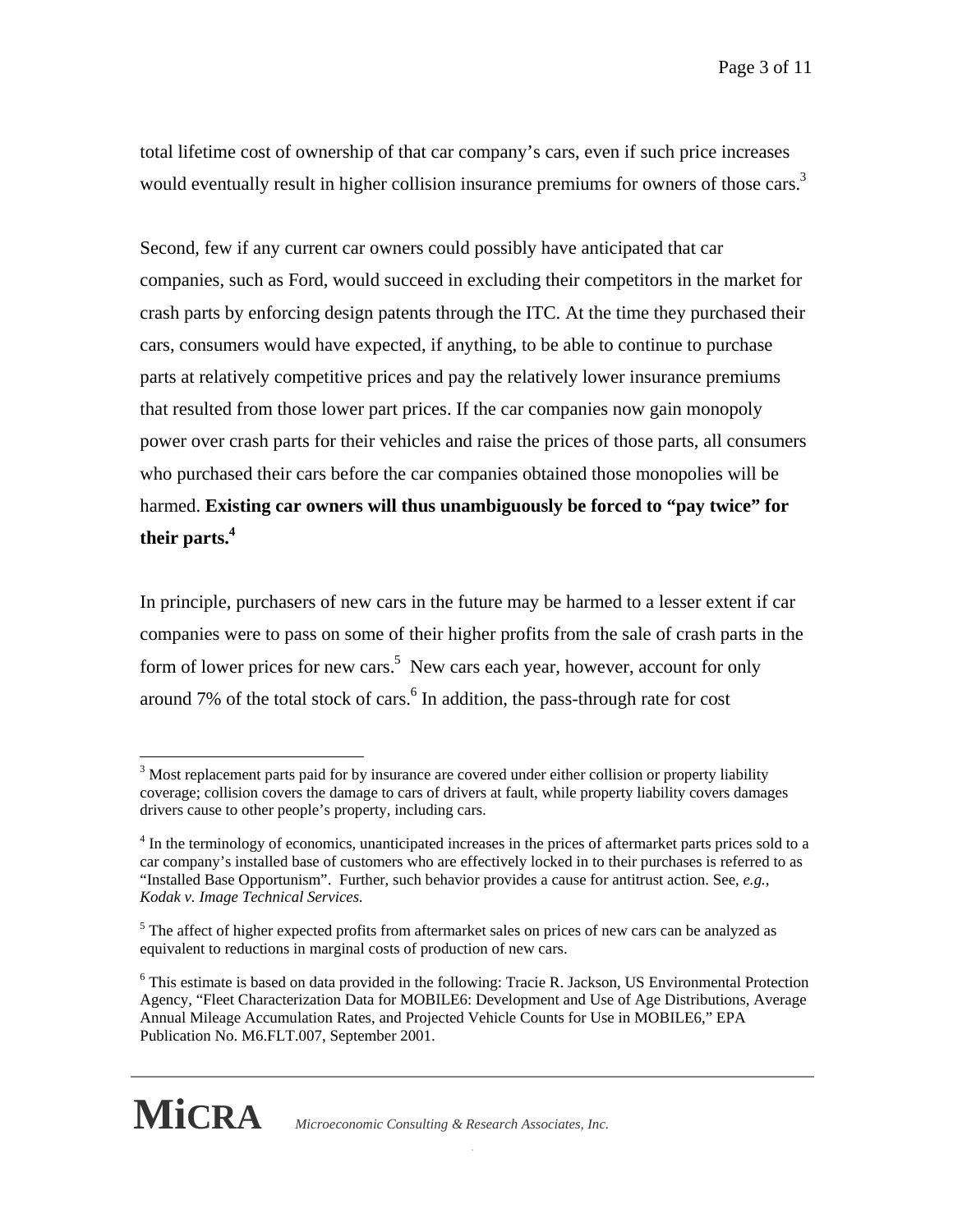total lifetime cost of ownership of that car company's cars, even if such price increases would eventually result in higher collision insurance premiums for owners of those cars.<sup>3</sup>

Second, few if any current car owners could possibly have anticipated that car companies, such as Ford, would succeed in excluding their competitors in the market for crash parts by enforcing design patents through the ITC. At the time they purchased their cars, consumers would have expected, if anything, to be able to continue to purchase parts at relatively competitive prices and pay the relatively lower insurance premiums that resulted from those lower part prices. If the car companies now gain monopoly power over crash parts for their vehicles and raise the prices of those parts, all consumers who purchased their cars before the car companies obtained those monopolies will be harmed. **Existing car owners will thus unambiguously be forced to "pay twice" for their parts.4**

In principle, purchasers of new cars in the future may be harmed to a lesser extent if car companies were to pass on some of their higher profits from the sale of crash parts in the form of lower prices for new cars.<sup>5</sup> New cars each year, however, account for only around  $7\%$  of the total stock of cars. $<sup>6</sup>$  In addition, the pass-through rate for cost</sup>

 $\overline{a}$ 

 $3$  Most replacement parts paid for by insurance are covered under either collision or property liability coverage; collision covers the damage to cars of drivers at fault, while property liability covers damages drivers cause to other people's property, including cars.

<sup>&</sup>lt;sup>4</sup> In the terminology of economics, unanticipated increases in the prices of aftermarket parts prices sold to a car company's installed base of customers who are effectively locked in to their purchases is referred to as "Installed Base Opportunism". Further, such behavior provides a cause for antitrust action. See, *e.g.*, *Kodak v. Image Technical Services.* 

 $<sup>5</sup>$  The affect of higher expected profits from aftermarket sales on prices of new cars can be analyzed as</sup> equivalent to reductions in marginal costs of production of new cars.

 Publication No. M6.FLT.007, September 2001. <sup>6</sup> This estimate is based on data provided in the following: Tracie R. Jackson, US Environmental Protection Agency, "Fleet Characterization Data for MOBILE6: Development and Use of Age Distributions, Average Annual Mileage Accumulation Rates, and Projected Vehicle Counts for Use in MOBILE6," EPA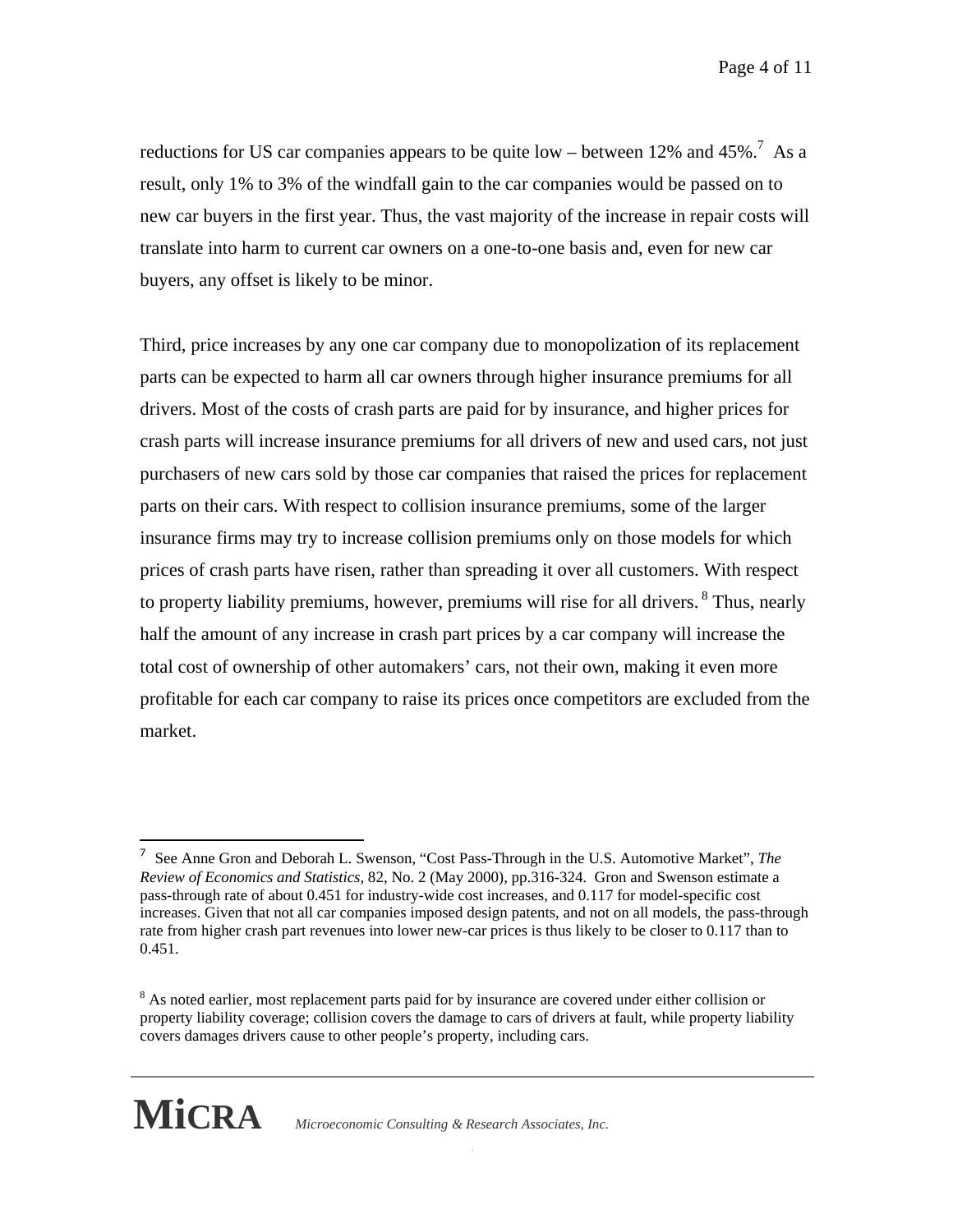Page 4 of 11

reductions for US car companies appears to be quite low – between 12% and 45%.<sup>7</sup> As a result, only 1% to 3% of the windfall gain to the car companies would be passed on to new car buyers in the first year. Thus, the vast majority of the increase in repair costs will translate into harm to current car owners on a one-to-one basis and, even for new car buyers, any offset is likely to be minor.

Third, price increases by any one car company due to monopolization of its replacement parts can be expected to harm all car owners through higher insurance premiums for all drivers. Most of the costs of crash parts are paid for by insurance, and higher prices for crash parts will increase insurance premiums for all drivers of new and used cars, not just purchasers of new cars sold by those car companies that raised the prices for replacement parts on their cars. With respect to collision insurance premiums, some of the larger insurance firms may try to increase collision premiums only on those models for which prices of crash parts have risen, rather than spreading it over all customers. With respect to property liability premiums, however, premiums will rise for all drivers. <sup>8</sup> Thus, nearly half the amount of any increase in crash part prices by a car company will increase the total cost of ownership of other automakers' cars, not their own, making it even more profitable for each car company to raise its prices once competitors are excluded from the market.

 covers damages drivers cause to other people's property, including cars. <sup>8</sup> As noted earlier, most replacement parts paid for by insurance are covered under either collision or property liability coverage; collision covers the damage to cars of drivers at fault, while property liability



 $\overline{a}$ 

**MiCRA** *Microeconomic Consulting & Research Associates, Inc.* 

<sup>7</sup> See Anne Gron and Deborah L. Swenson, "Cost Pass-Through in the U.S. Automotive Market", *The Review of Economics and Statistics*, 82, No. 2 (May 2000), pp.316-324. Gron and Swenson estimate a pass-through rate of about 0.451 for industry-wide cost increases, and 0.117 for model-specific cost increases. Given that not all car companies imposed design patents, and not on all models, the pass-through rate from higher crash part revenues into lower new-car prices is thus likely to be closer to 0.117 than to 0.451.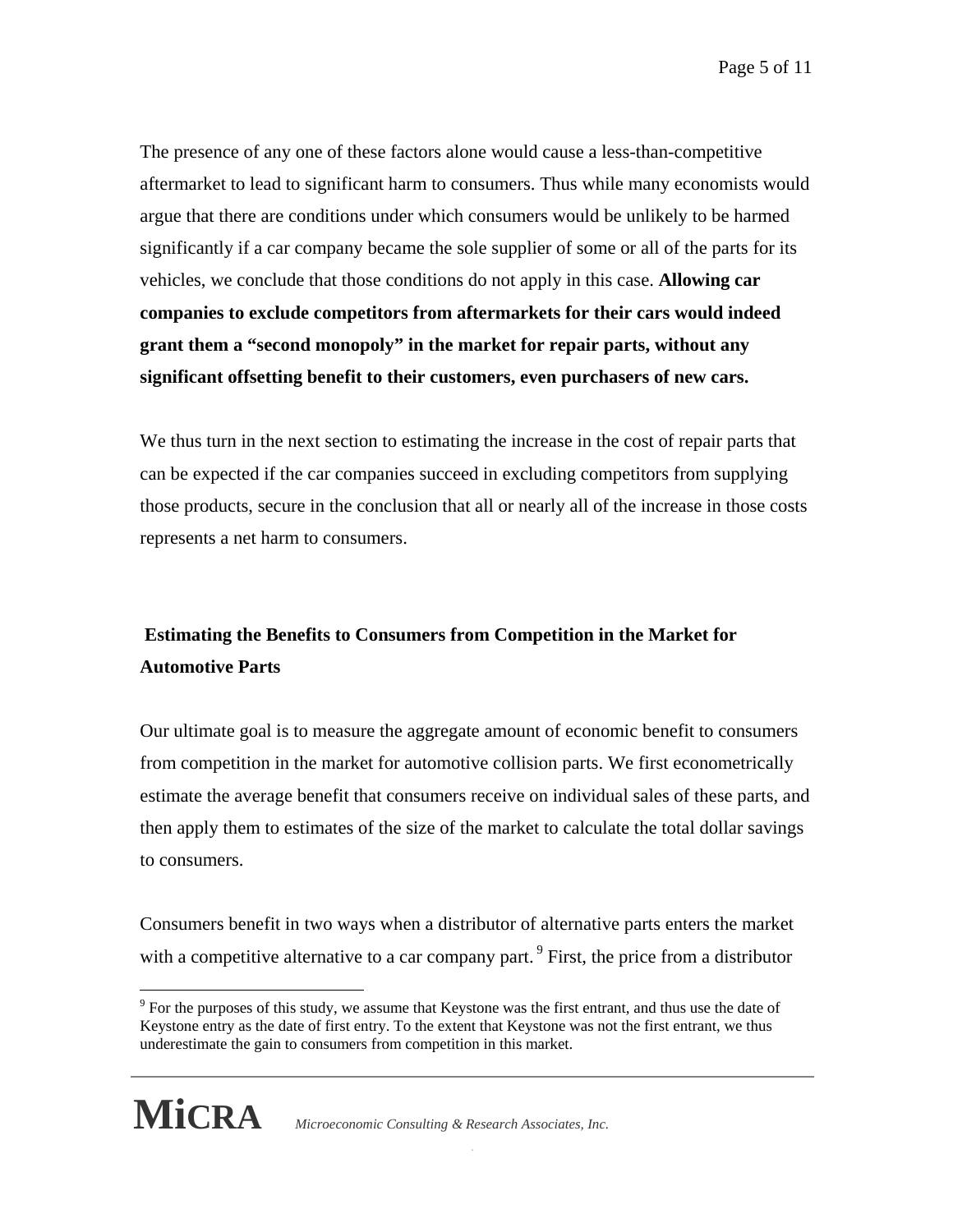Page 5 of 11

The presence of any one of these factors alone would cause a less-than-competitive aftermarket to lead to significant harm to consumers. Thus while many economists would argue that there are conditions under which consumers would be unlikely to be harmed significantly if a car company became the sole supplier of some or all of the parts for its vehicles, we conclude that those conditions do not apply in this case. **Allowing car companies to exclude competitors from aftermarkets for their cars would indeed grant them a "second monopoly" in the market for repair parts, without any significant offsetting benefit to their customers, even purchasers of new cars.**

We thus turn in the next section to estimating the increase in the cost of repair parts that can be expected if the car companies succeed in excluding competitors from supplying those products, secure in the conclusion that all or nearly all of the increase in those costs represents a net harm to consumers.

## **Estimating the Benefits to Consumers from Competition in the Market for Automotive Parts**

Our ultimate goal is to measure the aggregate amount of economic benefit to consumers from competition in the market for automotive collision parts. We first econometrically estimate the average benefit that consumers receive on individual sales of these parts, and then apply them to estimates of the size of the market to calculate the total dollar savings to consumers.

Consumers benefit in two ways when a distributor of alternative parts enters the market with a competitive alternative to a car company part.<sup>9</sup> First, the price from a distributor

 underestimate the gain to consumers from competition in this market.  $9^9$  For the purposes of this study, we assume that Keystone was the first entrant, and thus use the date of Keystone entry as the date of first entry. To the extent that Keystone was not the first entrant, we thus



 $\overline{a}$ 

**MiCRA** *Microeconomic Consulting & Research Associates, Inc.*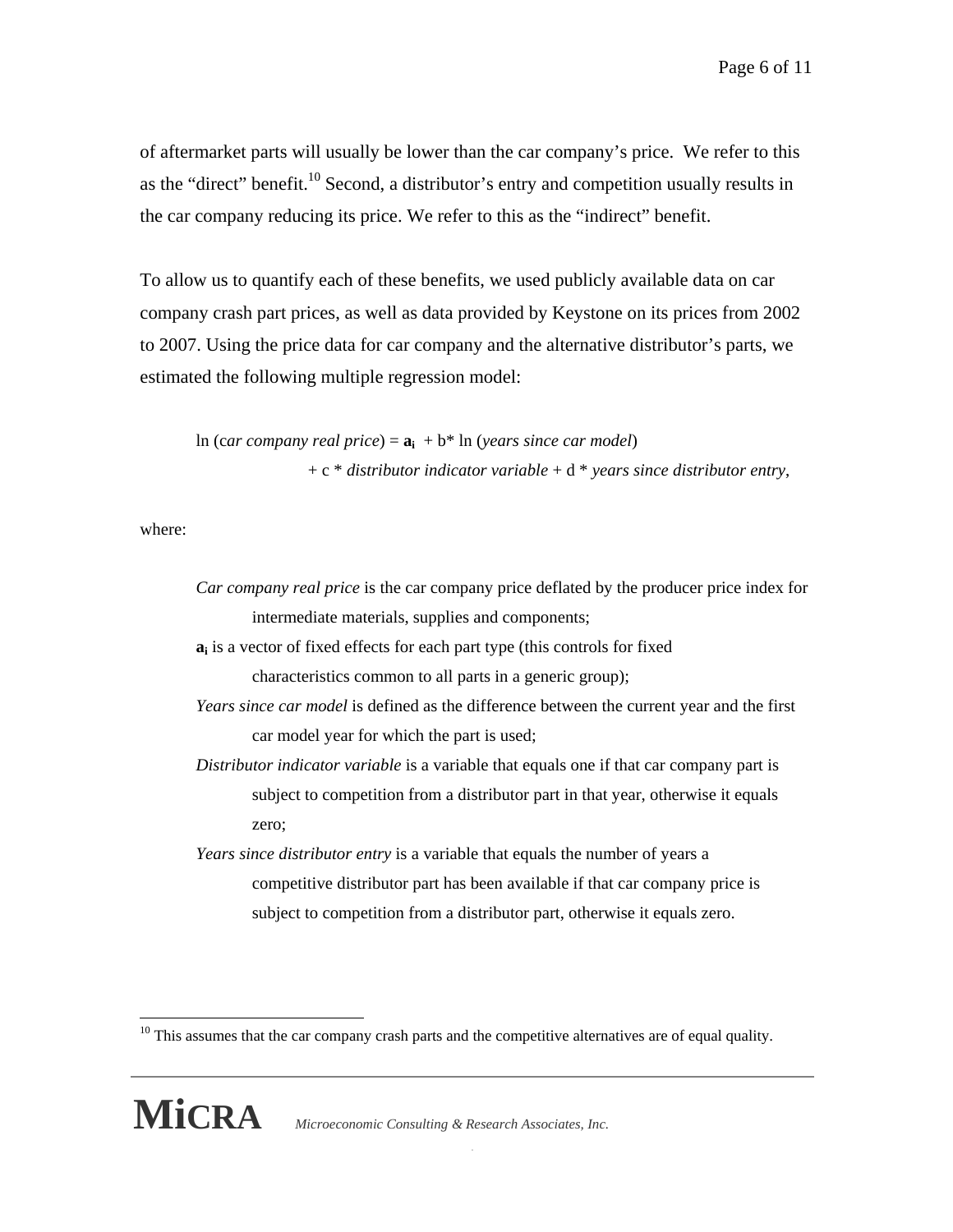of aftermarket parts will usually be lower than the car company's price. We refer to this as the "direct" benefit.<sup>10</sup> Second, a distributor's entry and competition usually results in the car company reducing its price. We refer to this as the "indirect" benefit.

To allow us to quantify each of these benefits, we used publicly available data on car company crash part prices, as well as data provided by Keystone on its prices from 2002 to 2007. Using the price data for car company and the alternative distributor's parts, we estimated the following multiple regression model:

ln (car company real price) =  $\mathbf{a}_i + \mathbf{b}^*$  ln (*years since car model*) + c \* *distributor indicator variable* + d \* *years since distributor entry*,

where:

| Car company real price is the car company price deflated by the producer price index for  |
|-------------------------------------------------------------------------------------------|
| intermediate materials, supplies and components;                                          |
| $a_i$ is a vector of fixed effects for each part type (this controls for fixed            |
| characteristics common to all parts in a generic group);                                  |
| Years since car model is defined as the difference between the current year and the first |
| car model year for which the part is used;                                                |
| Distributor indicator variable is a variable that equals one if that car company part is  |
| subject to competition from a distributor part in that year, otherwise it equals          |
| zero;                                                                                     |
| Years since distributor entry is a variable that equals the number of years a             |
| competitive distributor part has been available if that car company price is              |
| subject to competition from a distributor part, otherwise it equals zero.                 |
|                                                                                           |

 $\overline{a}$ 

<sup>&</sup>lt;sup>10</sup> This assumes that the car company crash parts and the competitive alternatives are of equal quality.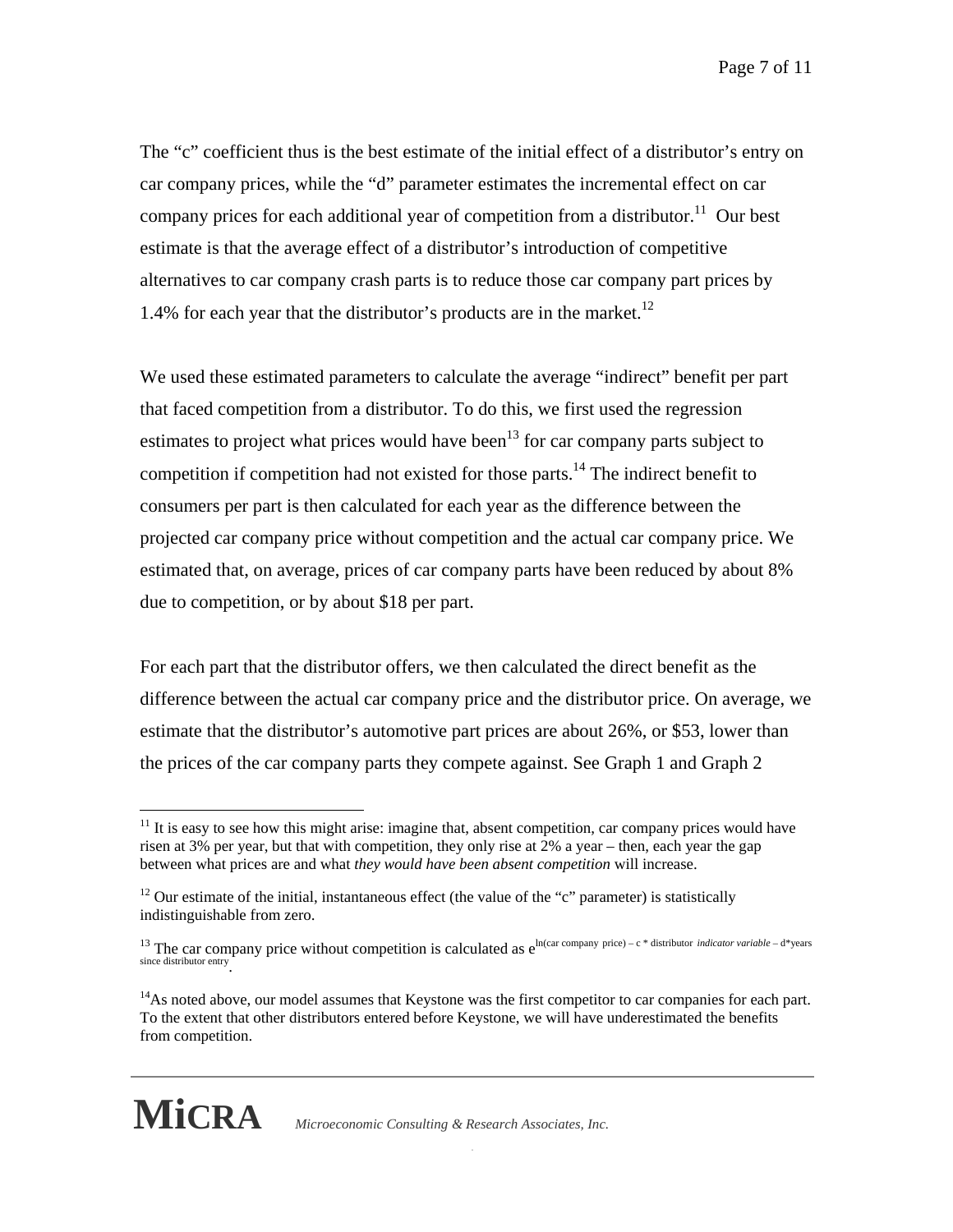The "c" coefficient thus is the best estimate of the initial effect of a distributor's entry on car company prices, while the "d" parameter estimates the incremental effect on car company prices for each additional year of competition from a distributor.<sup>11</sup> Our best estimate is that the average effect of a distributor's introduction of competitive alternatives to car company crash parts is to reduce those car company part prices by 1.4% for each year that the distributor's products are in the market.<sup>12</sup>

We used these estimated parameters to calculate the average "indirect" benefit per part that faced competition from a distributor. To do this, we first used the regression estimates to project what prices would have been<sup>13</sup> for car company parts subject to competition if competition had not existed for those parts.<sup>14</sup> The indirect benefit to consumers per part is then calculated for each year as the difference between the projected car company price without competition and the actual car company price. We estimated that, on average, prices of car company parts have been reduced by about 8% due to competition, or by about \$18 per part.

For each part that the distributor offers, we then calculated the direct benefit as the difference between the actual car company price and the distributor price. On average, we estimate that the distributor's automotive part prices are about 26%, or \$53, lower than the prices of the car company parts they compete against. See Graph 1 and Graph 2

 from competition. <sup>14</sup>As noted above, our model assumes that Keystone was the first competitor to car companies for each part. To the extent that other distributors entered before Keystone, we will have underestimated the benefits



 $\overline{a}$ 

**MiCRA** *Microeconomic Consulting & Research Associates, Inc.* 

 $11$  It is easy to see how this might arise: imagine that, absent competition, car company prices would have risen at 3% per year, but that with competition, they only rise at 2% a year – then, each year the gap between what prices are and what *they would have been absent competition* will increase.

 $12$  Our estimate of the initial, instantaneous effect (the value of the "c" parameter) is statistically indistinguishable from zero.

<sup>&</sup>lt;sup>13</sup> The car company price without competition is calculated as  $e^{\ln(car \text{ company price}) - c * distribution \text{ } indicator \text{ } variable - d * years}$ since distributor entry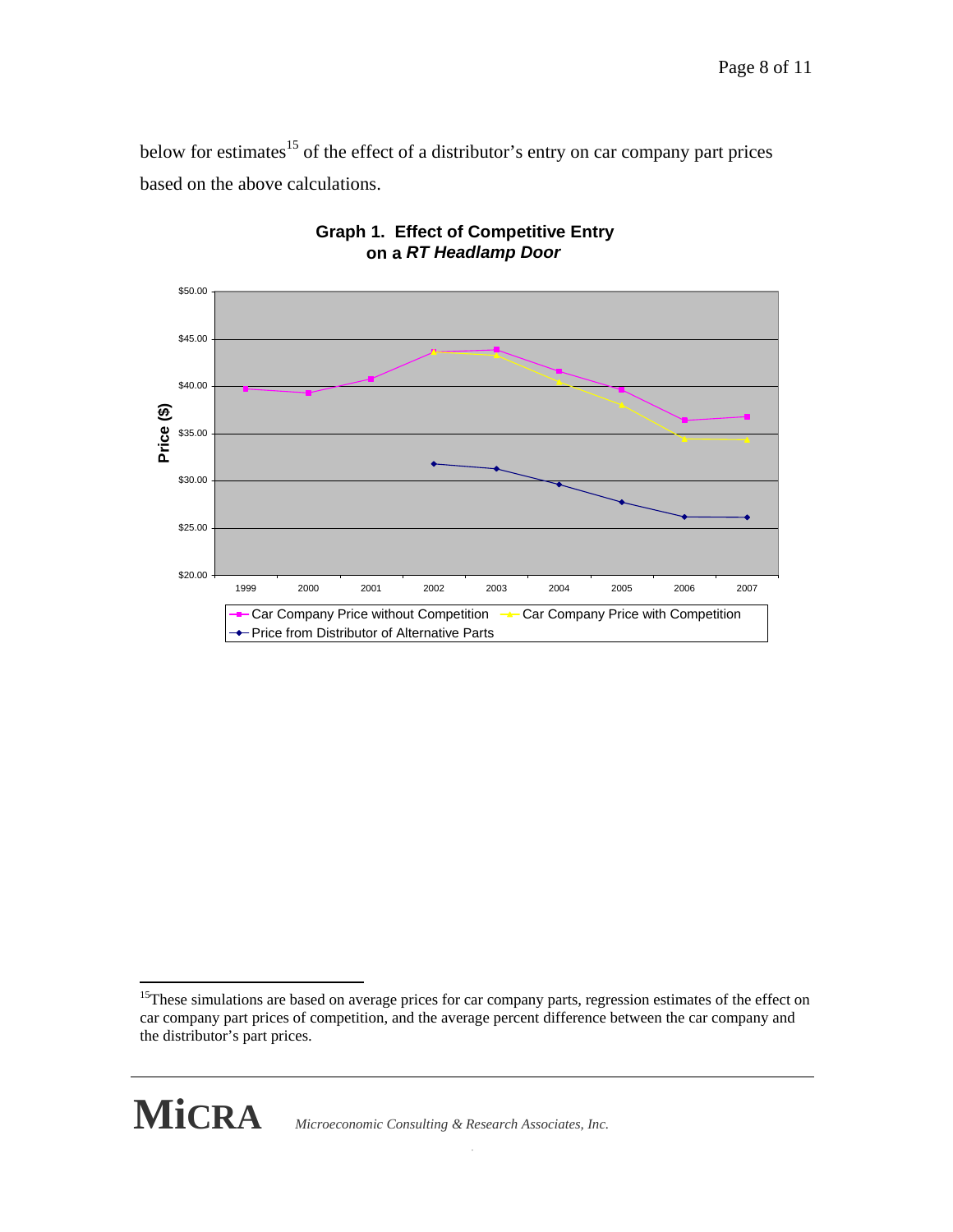below for estimates<sup>15</sup> of the effect of a distributor's entry on car company part prices based on the above calculations.



## **Graph 1. Effect of Competitive Entry on a** *RT Headlamp Door*

 the distributor's part prices. <sup>15</sup>These simulations are based on average prices for car company parts, regression estimates of the effect on car company part prices of competition, and the average percent difference between the car company and



1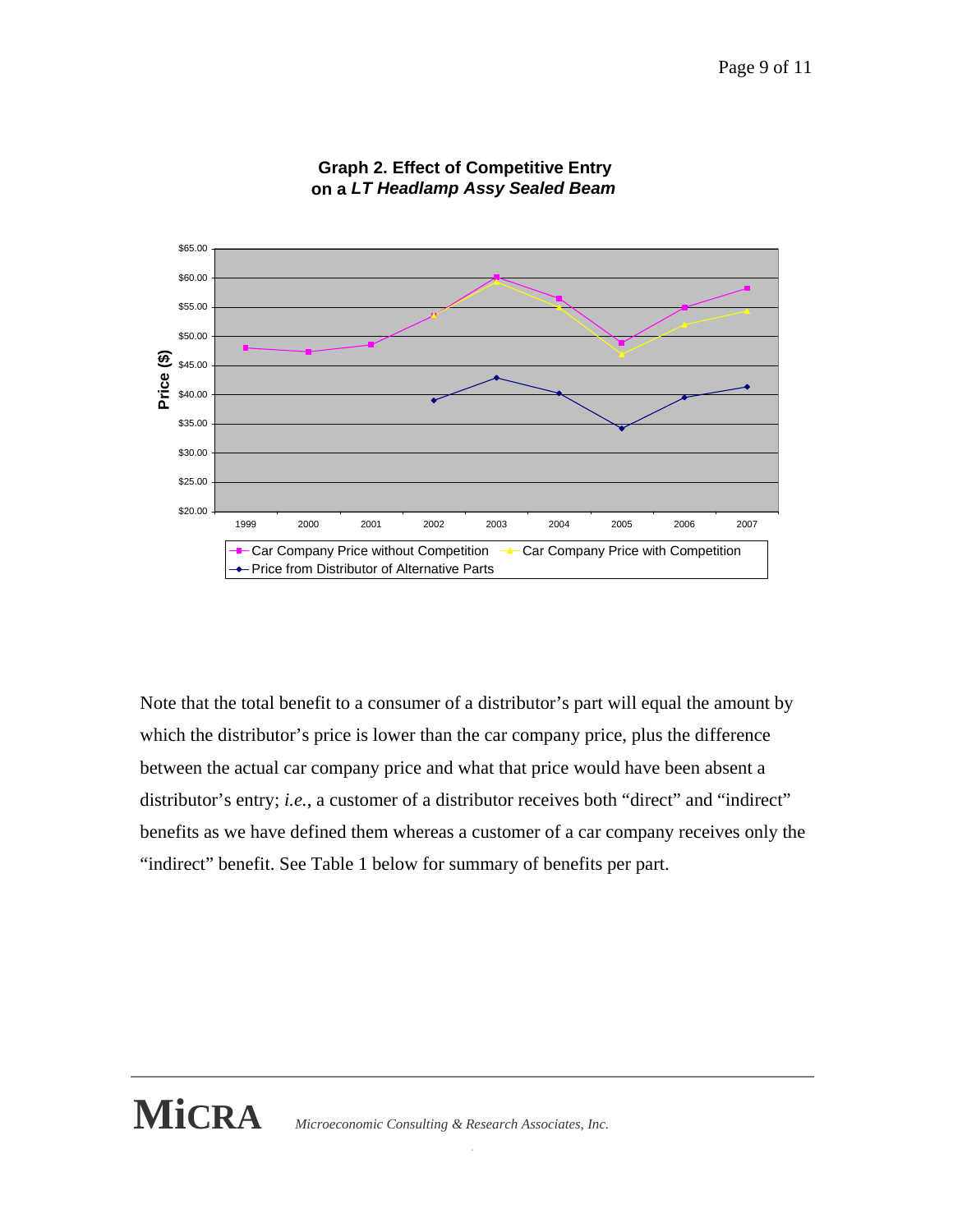

### **Graph 2. Effect of Competitive Entry on a** *LT Headlamp Assy Sealed Beam*

Note that the total benefit to a consumer of a distributor's part will equal the amount by which the distributor's price is lower than the car company price, plus the difference between the actual car company price and what that price would have been absent a distributor's entry; *i.e.*, a customer of a distributor receives both "direct" and "indirect" benefits as we have defined them whereas a customer of a car company receives only the "indirect" benefit. See Table 1 below for summary of benefits per part.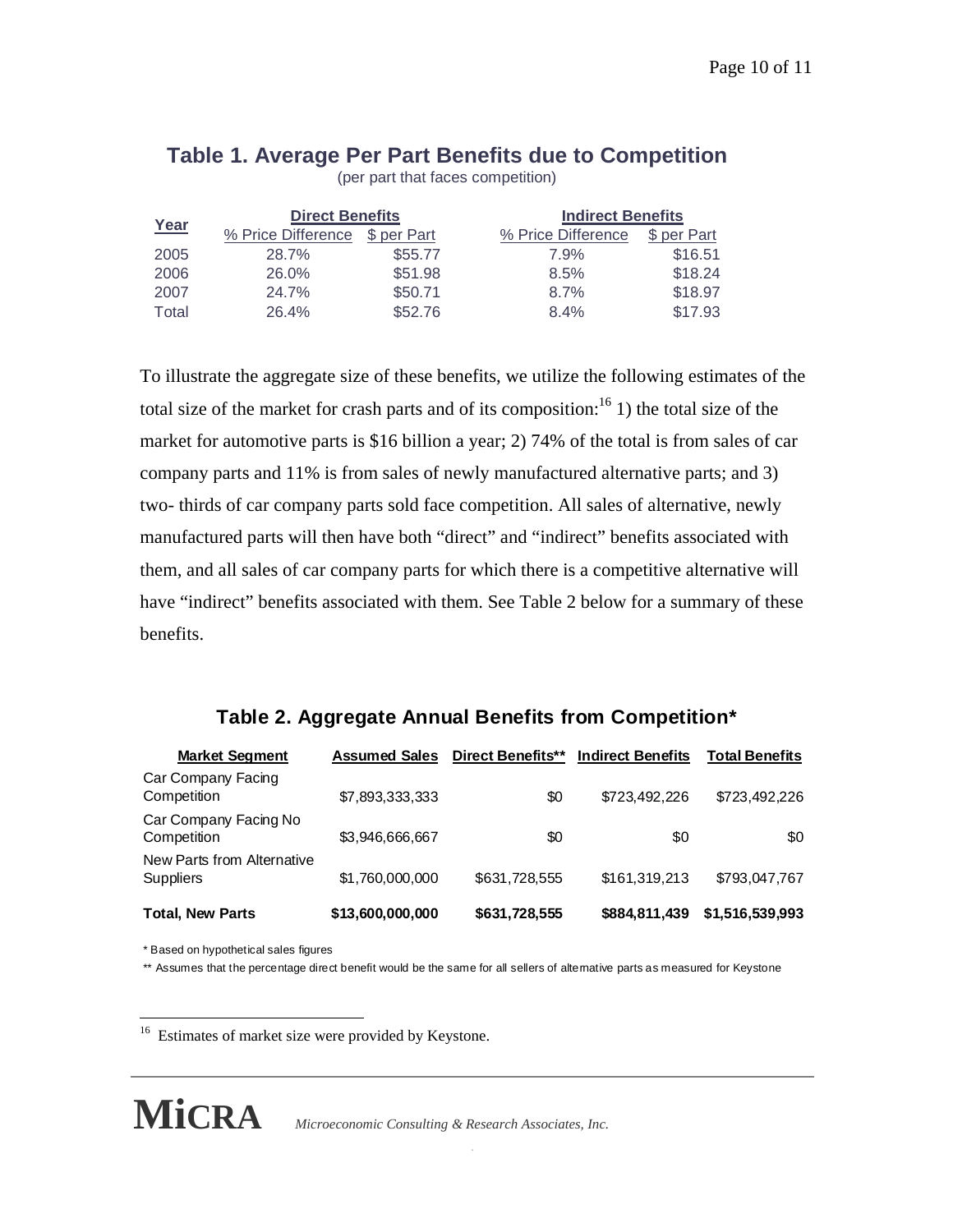(per part that faces competition)

| Year  | <b>Direct Benefits</b> |             |                    | <b>Indirect Benefits</b> |  |
|-------|------------------------|-------------|--------------------|--------------------------|--|
|       | % Price Difference     | \$ per Part | % Price Difference | \$ per Part              |  |
| 2005  | 28.7%                  | \$55.77     | 7.9%               | \$16.51                  |  |
| 2006  | 26.0%                  | \$51.98     | 8.5%               | \$18.24                  |  |
| 2007  | 24.7%                  | \$50.71     | 8.7%               | \$18.97                  |  |
| Total | 26.4%                  | \$52.76     | 8.4%               | \$17.93                  |  |

To illustrate the aggregate size of these benefits, we utilize the following estimates of the total size of the market for crash parts and of its composition: $16$  1) the total size of the market for automotive parts is \$16 billion a year; 2) 74% of the total is from sales of car company parts and 11% is from sales of newly manufactured alternative parts; and 3) two- thirds of car company parts sold face competition. All sales of alternative, newly manufactured parts will then have both "direct" and "indirect" benefits associated with them, and all sales of car company parts for which there is a competitive alternative will have "indirect" benefits associated with them. See Table 2 below for a summary of these benefits.

## **Table 2. Aggregate Annual Benefits from Competition\***

| <b>Market Segment</b>                          | <b>Assumed Sales</b> | Direct Benefits** | <b>Indirect Benefits</b> | <b>Total Benefits</b> |
|------------------------------------------------|----------------------|-------------------|--------------------------|-----------------------|
| Car Company Facing<br>Competition              | \$7,893,333,333      | \$0               | \$723,492,226            | \$723,492,226         |
| Car Company Facing No<br>Competition           | \$3,946,666,667      | \$0               | \$0                      | \$0                   |
| New Parts from Alternative<br><b>Suppliers</b> | \$1,760,000,000      | \$631,728,555     | \$161,319,213            | \$793,047.767         |
| <b>Total, New Parts</b>                        | \$13,600,000,000     | \$631,728,555     | \$884,811,439            | \$1,516,539,993       |

\* Based on hypothetical sales figures

\*\* Assumes that the percentage direct benefit would be the same for all sellers of altemative parts as measured for Keystone

<sup>16</sup> Estimates of market size were provided by Keystone. <u>.</u>